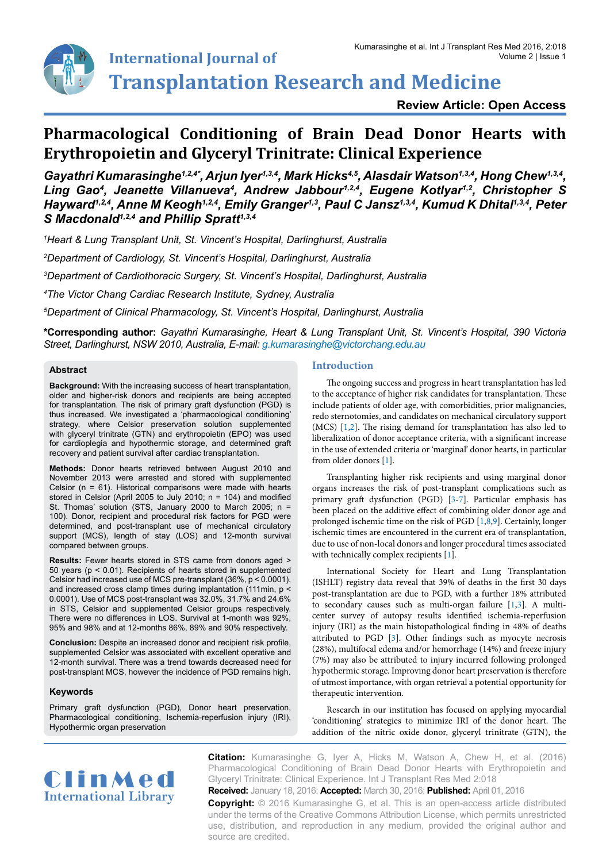

**Transplantation Research and Medicine**

**Review Article: Open Access**

# **Pharmacological Conditioning of Brain Dead Donor Hearts with Erythropoietin and Glyceryl Trinitrate: Clinical Experience**

*Gayathri Kumarasinghe1,2,4\*, Arjun Iyer1,3,4, Mark Hicks4,5, Alasdair Watson1,3,4, Hong Chew1,3,4,*  Ling Gao<sup>4</sup>, Jeanette Villanueva<sup>4</sup>, Andrew Jabbour<sup>1,2,4</sup>, Eugene Kotlyar<sup>1,2</sup>, Christopher S *Hayward1,2,4, Anne M Keogh1,2,4, Emily Granger1,3, Paul C Jansz1,3,4, Kumud K Dhital1,3,4, Peter S Macdonald1,2,4 and Phillip Spratt1,3,4*

*1 Heart & Lung Transplant Unit, St. Vincent's Hospital, Darlinghurst, Australia*

*2 Department of Cardiology, St. Vincent's Hospital, Darlinghurst, Australia*

*3 Department of Cardiothoracic Surgery, St. Vincent's Hospital, Darlinghurst, Australia*

*4 The Victor Chang Cardiac Research Institute, Sydney, Australia*

*5 Department of Clinical Pharmacology, St. Vincent's Hospital, Darlinghurst, Australia*

**\*Corresponding author:** *Gayathri Kumarasinghe, Heart & Lung Transplant Unit, St. Vincent's Hospital, 390 Victoria Street, Darlinghurst, NSW 2010, Australia, E-mail: g.kumarasinghe@victorchang.edu.au*

## **Abstract**

**Background:** With the increasing success of heart transplantation, older and higher-risk donors and recipients are being accepted for transplantation. The risk of primary graft dysfunction (PGD) is thus increased. We investigated a 'pharmacological conditioning' strategy, where Celsior preservation solution supplemented with glyceryl trinitrate (GTN) and erythropoietin (EPO) was used for cardioplegia and hypothermic storage, and determined graft recovery and patient survival after cardiac transplantation.

**Methods:** Donor hearts retrieved between August 2010 and November 2013 were arrested and stored with supplemented Celsior ( $n = 61$ ). Historical comparisons were made with hearts stored in Celsior (April 2005 to July 2010; n = 104) and modified St. Thomas' solution (STS, January 2000 to March 2005; n = 100). Donor, recipient and procedural risk factors for PGD were determined, and post-transplant use of mechanical circulatory support (MCS), length of stay (LOS) and 12-month survival compared between groups.

**Results:** Fewer hearts stored in STS came from donors aged > 50 years (p < 0.01). Recipients of hearts stored in supplemented Celsior had increased use of MCS pre-transplant (36%, p < 0.0001), and increased cross clamp times during implantation (111min, p < 0.0001). Use of MCS post-transplant was 32.0%, 31.7% and 24.6% in STS, Celsior and supplemented Celsior groups respectively. There were no differences in LOS. Survival at 1-month was 92%, 95% and 98% and at 12-months 86%, 89% and 90% respectively.

**Conclusion:** Despite an increased donor and recipient risk profile, supplemented Celsior was associated with excellent operative and 12-month survival. There was a trend towards decreased need for post-transplant MCS, however the incidence of PGD remains high.

# **Keywords**

Primary graft dysfunction (PGD), Donor heart preservation, Pharmacological conditioning, Ischemia-reperfusion injury (IRI), Hypothermic organ preservation

# **Introduction**

The ongoing success and progress in heart transplantation has led to the acceptance of higher risk candidates for transplantation. These include patients of older age, with comorbidities, prior malignancies, redo sternotomies, and candidates on mechanical circulatory support (MCS) [\[1,](#page-4-0)[2](#page-4-1)]. The rising demand for transplantation has also led to liberalization of donor acceptance criteria, with a significant increase in the use of extended criteria or 'marginal' donor hearts, in particular from older donors [[1](#page-4-0)].

Transplanting higher risk recipients and using marginal donor organs increases the risk of post-transplant complications such as primary graft dysfunction (PGD) [\[3-](#page-4-2)[7](#page-4-3)]. Particular emphasis has been placed on the additive effect of combining older donor age and prolonged ischemic time on the risk of PGD [\[1,](#page-4-4)[8](#page-4-5)[,9](#page-4-6)]. Certainly, longer ischemic times are encountered in the current era of transplantation, due to use of non-local donors and longer procedural times associated with technically complex recipients [\[1\]](#page-4-0).

International Society for Heart and Lung Transplantation (ISHLT) registry data reveal that 39% of deaths in the first 30 days post-transplantation are due to PGD, with a further 18% attributed to secondary causes such as multi-organ failure [[1,](#page-4-0)[3](#page-4-2)]. A multicenter survey of autopsy results identified ischemia-reperfusion injury (IRI) as the main histopathological finding in 48% of deaths attributed to PGD [\[3](#page-4-2)]. Other findings such as myocyte necrosis (28%), multifocal edema and/or hemorrhage (14%) and freeze injury (7%) may also be attributed to injury incurred following prolonged hypothermic storage. Improving donor heart preservation is therefore of utmost importance, with organ retrieval a potential opportunity for therapeutic intervention.

Research in our institution has focused on applying myocardial 'conditioning' strategies to minimize IRI of the donor heart. The addition of the nitric oxide donor, glyceryl trinitrate (GTN), the



**Citation:** Kumarasinghe G, Iyer A, Hicks M, Watson A, Chew H, et al. (2016) Pharmacological Conditioning of Brain Dead Donor Hearts with Erythropoietin and Glyceryl Trinitrate: Clinical Experience. Int J Transplant Res Med 2:018

**Received:** January 18, 2016: **Accepted:** March 30, 2016: **Published:** April 01, 2016 **Copyright:** © 2016 Kumarasinghe G, et al. This is an open-access article distributed under the terms of the Creative Commons Attribution License, which permits unrestricted use, distribution, and reproduction in any medium, provided the original author and source are credited.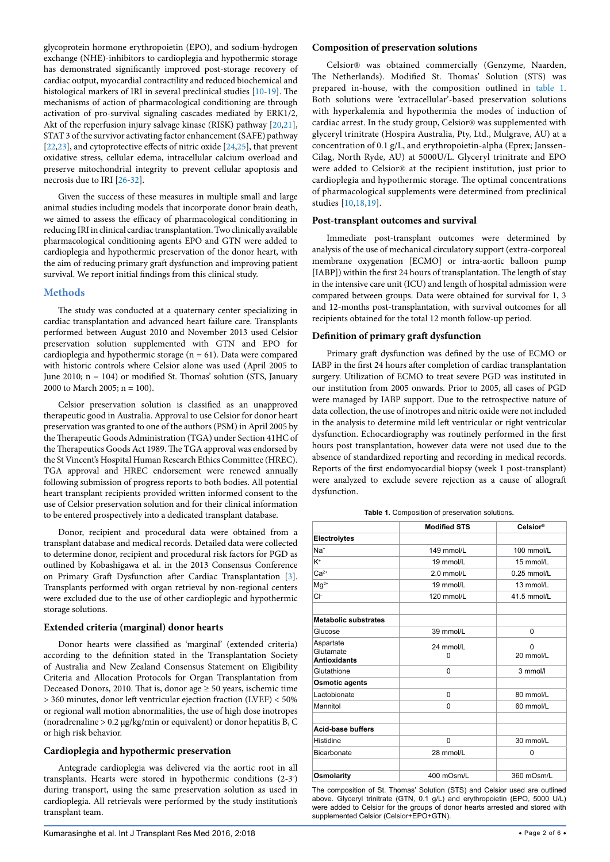glycoprotein hormone erythropoietin (EPO), and sodium-hydrogen exchange (NHE)-inhibitors to cardioplegia and hypothermic storage has demonstrated significantly improved post-storage recovery of cardiac output, myocardial contractility and reduced biochemical and histological markers of IRI in several preclinical studies [\[10-](#page-4-4)[19\]](#page-5-0). The mechanisms of action of pharmacological conditioning are through activation of pro-survival signaling cascades mediated by ERK1/2, Akt of the reperfusion injury salvage kinase (RISK) pathway [\[20,](#page-5-1)[21](#page-5-2)], STAT 3 of the survivor activating factor enhancement (SAFE) pathway [[22](#page-5-3)[,23\]](#page-5-4), and cytoprotective effects of nitric oxide [[24](#page-5-5),[25](#page-5-6)], that prevent oxidative stress, cellular edema, intracellular calcium overload and preserve mitochondrial integrity to prevent cellular apoptosis and necrosis due to IRI [\[26](#page-5-7)[-32\]](#page-5-8).

Given the success of these measures in multiple small and large animal studies including models that incorporate donor brain death, we aimed to assess the efficacy of pharmacological conditioning in reducing IRI in clinical cardiac transplantation. Two clinically available pharmacological conditioning agents EPO and GTN were added to cardioplegia and hypothermic preservation of the donor heart, with the aim of reducing primary graft dysfunction and improving patient survival. We report initial findings from this clinical study.

# **Methods**

The study was conducted at a quaternary center specializing in cardiac transplantation and advanced heart failure care. Transplants performed between August 2010 and November 2013 used Celsior preservation solution supplemented with GTN and EPO for cardioplegia and hypothermic storage ( $n = 61$ ). Data were compared with historic controls where Celsior alone was used (April 2005 to June 2010; n = 104) or modified St. Thomas' solution (STS, January 2000 to March 2005;  $n = 100$ ).

Celsior preservation solution is classified as an unapproved therapeutic good in Australia. Approval to use Celsior for donor heart preservation was granted to one of the authors (PSM) in April 2005 by the Therapeutic Goods Administration (TGA) under Section 41HC of the Therapeutics Goods Act 1989. The TGA approval was endorsed by the St Vincent's Hospital Human Research Ethics Committee (HREC). TGA approval and HREC endorsement were renewed annually following submission of progress reports to both bodies. All potential heart transplant recipients provided written informed consent to the use of Celsior preservation solution and for their clinical information to be entered prospectively into a dedicated transplant database.

Donor, recipient and procedural data were obtained from a transplant database and medical records. Detailed data were collected to determine donor, recipient and procedural risk factors for PGD as outlined by Kobashigawa et al. in the 2013 Consensus Conference on Primary Graft Dysfunction after Cardiac Transplantation [\[3](#page-4-2)]. Transplants performed with organ retrieval by non-regional centers were excluded due to the use of other cardioplegic and hypothermic storage solutions.

# **Extended criteria (marginal) donor hearts**

Donor hearts were classified as 'marginal' (extended criteria) according to the definition stated in the Transplantation Society of Australia and New Zealand Consensus Statement on Eligibility Criteria and Allocation Protocols for Organ Transplantation from Deceased Donors, 2010. That is, donor age ≥ 50 years, ischemic time > 360 minutes, donor left ventricular ejection fraction (LVEF) < 50% or regional wall motion abnormalities, the use of high dose inotropes (noradrenaline > 0.2 μg/kg/min or equivalent) or donor hepatitis B, C or high risk behavior.

# **Cardioplegia and hypothermic preservation**

Antegrade cardioplegia was delivered via the aortic root in all transplants. Hearts were stored in hypothermic conditions (2-3º ) during transport, using the same preservation solution as used in cardioplegia. All retrievals were performed by the study institution's transplant team.

# **Composition of preservation solutions**

Celsior® was obtained commercially (Genzyme, Naarden, The Netherlands). Modified St. Thomas' Solution (STS) was prepared in-house, with the composition outlined in [table 1.](#page-1-0) Both solutions were 'extracellular'-based preservation solutions with hyperkalemia and hypothermia the modes of induction of cardiac arrest. In the study group, Celsior® was supplemented with glyceryl trinitrate (Hospira Australia, Pty, Ltd., Mulgrave, AU) at a concentration of 0.1 g/L, and erythropoietin-alpha (Eprex; Janssen-Cilag, North Ryde, AU) at 5000U/L. Glyceryl trinitrate and EPO were added to Celsior® at the recipient institution, just prior to cardioplegia and hypothermic storage. The optimal concentrations of pharmacological supplements were determined from preclinical studies [[10](#page-4-4)[,18](#page-5-9)[,19](#page-5-0)].

# **Post-transplant outcomes and survival**

Immediate post-transplant outcomes were determined by analysis of the use of mechanical circulatory support (extra-corporeal membrane oxygenation [ECMO] or intra-aortic balloon pump [IABP]) within the first 24 hours of transplantation. The length of stay in the intensive care unit (ICU) and length of hospital admission were compared between groups. Data were obtained for survival for 1, 3 and 12-months post-transplantation, with survival outcomes for all recipients obtained for the total 12 month follow-up period.

# **Definition of primary graft dysfunction**

Primary graft dysfunction was defined by the use of ECMO or IABP in the first 24 hours after completion of cardiac transplantation surgery. Utilization of ECMO to treat severe PGD was instituted in our institution from 2005 onwards. Prior to 2005, all cases of PGD were managed by IABP support. Due to the retrospective nature of data collection, the use of inotropes and nitric oxide were not included in the analysis to determine mild left ventricular or right ventricular dysfunction. Echocardiography was routinely performed in the first hours post transplantation, however data were not used due to the absence of standardized reporting and recording in medical records. Reports of the first endomyocardial biopsy (week 1 post-transplant) were analyzed to exclude severe rejection as a cause of allograft dysfunction.

<span id="page-1-0"></span>**Table 1.** Composition of preservation solutions**.**

|                                               | <b>Modified STS</b> | Celsior®       |
|-----------------------------------------------|---------------------|----------------|
| Electrolytes                                  |                     |                |
| Na <sup>+</sup>                               | 149 mmol/L          | 100 mmol/L     |
| $K^+$                                         | 19 mmol/L           | 15 mmol/L      |
| $Ca2+$                                        | 2.0 mmol/L          | $0.25$ mmol/L  |
| $Mg^{2+}$                                     | 19 mmol/L           | 13 mmol/L      |
| Cŀ                                            | 120 mmol/L          | 41.5 mmol/L    |
| <b>Metabolic substrates</b>                   |                     |                |
| Glucose                                       | 39 mmol/L           | 0              |
| Aspartate<br>Glutamate<br><b>Antioxidants</b> | 24 mmol/L<br>0      | 0<br>20 mmol/L |
| Glutathione                                   | $\Omega$            | 3 mmol/l       |
| <b>Osmotic agents</b>                         |                     |                |
| Lactobionate                                  | 0                   | 80 mmol/L      |
| Mannitol                                      | 0                   | 60 mmol/L      |
| <b>Acid-base buffers</b>                      |                     |                |
| Histidine                                     | 0                   | 30 mmol/L      |
| Bicarbonate                                   | 28 mmol/L           | 0              |
| Osmolarity                                    | 400 mOsm/L          | 360 mOsm/L     |

The composition of St. Thomas' Solution (STS) and Celsior used are outlined above. Glyceryl trinitrate (GTN, 0.1 g/L) and erythropoietin (EPO, 5000 U/L) were added to Celsior for the groups of donor hearts arrested and stored with supplemented Celsior (Celsior+EPO+GTN).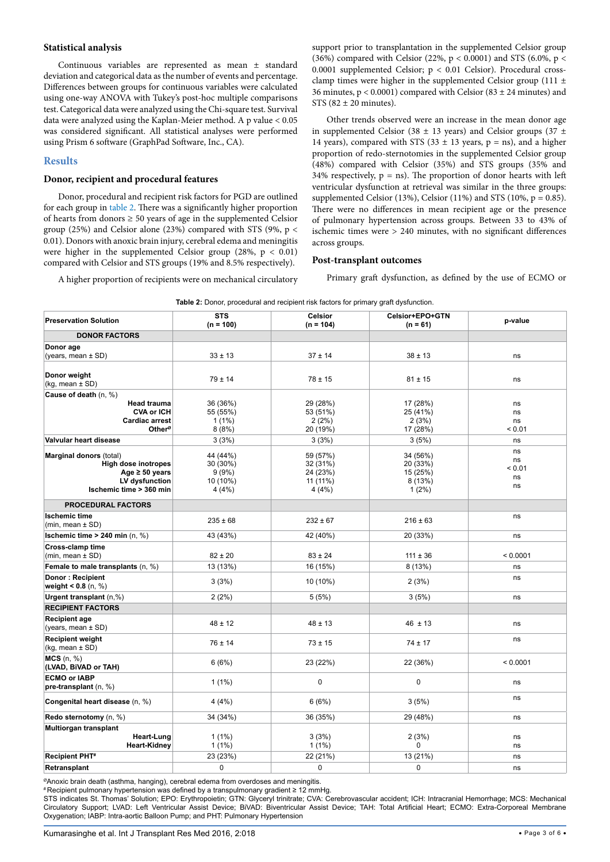## **Statistical analysis**

Continuous variables are represented as mean ± standard deviation and categorical data as the number of events and percentage. Differences between groups for continuous variables were calculated using one-way ANOVA with Tukey's post-hoc multiple comparisons test. Categorical data were analyzed using the Chi-square test. Survival data were analyzed using the Kaplan-Meier method. A p value < 0.05 was considered significant. All statistical analyses were performed using Prism 6 software (GraphPad Software, Inc., CA).

# **Results**

# **Donor, recipient and procedural features**

Donor, procedural and recipient risk factors for PGD are outlined for each group in [table 2.](#page-2-0) There was a significantly higher proportion of hearts from donors  $\geq 50$  years of age in the supplemented Celsior group (25%) and Celsior alone (23%) compared with STS (9%,  $p <$ 0.01). Donors with anoxic brain injury, cerebral edema and meningitis were higher in the supplemented Celsior group (28%,  $p < 0.01$ ) compared with Celsior and STS groups (19% and 8.5% respectively).

A higher proportion of recipients were on mechanical circulatory

support prior to transplantation in the supplemented Celsior group (36%) compared with Celsior (22%,  $p < 0.0001$ ) and STS (6.0%,  $p <$ 0.0001 supplemented Celsior;  $p < 0.01$  Celsior). Procedural crossclamp times were higher in the supplemented Celsior group (111  $\pm$ 36 minutes,  $p < 0.0001$ ) compared with Celsior (83  $\pm$  24 minutes) and STS  $(82 \pm 20 \text{ minutes})$ .

Other trends observed were an increase in the mean donor age in supplemented Celsior (38  $\pm$  13 years) and Celsior groups (37  $\pm$ 14 years), compared with STS (33  $\pm$  13 years, p = ns), and a higher proportion of redo-sternotomies in the supplemented Celsior group (48%) compared with Celsior (35%) and STS groups (35% and 34% respectively,  $p = ns$ ). The proportion of donor hearts with left ventricular dysfunction at retrieval was similar in the three groups: supplemented Celsior (13%), Celsior (11%) and STS (10%,  $p = 0.85$ ). There were no differences in mean recipient age or the presence of pulmonary hypertension across groups. Between 33 to 43% of ischemic times were > 240 minutes, with no significant differences across groups.

### **Post-transplant outcomes**

Primary graft dysfunction, as defined by the use of ECMO or

| <b>Table 2:</b> Donor, procedural and recipient risk factors for primary graft dysfunction. |                           |                               |                               |          |  |  |
|---------------------------------------------------------------------------------------------|---------------------------|-------------------------------|-------------------------------|----------|--|--|
| <b>Preservation Solution</b>                                                                | <b>STS</b><br>$(n = 100)$ | <b>Celsior</b><br>$(n = 104)$ | Celsior+EPO+GTN<br>$(n = 61)$ | p-value  |  |  |
| <b>DONOR FACTORS</b>                                                                        |                           |                               |                               |          |  |  |
| Donor age                                                                                   |                           |                               |                               |          |  |  |
| (years, mean $\pm$ SD)                                                                      | $33 \pm 13$               | $37 \pm 14$                   | $38 \pm 13$                   | ns       |  |  |
| Donor weight<br>(kg, mean ± SD)                                                             | $79 \pm 14$               | $78 \pm 15$                   | $81 \pm 15$                   | ns       |  |  |
| Cause of death (n, %)                                                                       |                           |                               |                               |          |  |  |
| <b>Head trauma</b>                                                                          | 36 (36%)                  | 29 (28%)                      | 17 (28%)                      | ns       |  |  |
| <b>CVA or ICH</b>                                                                           | 55 (55%)                  | 53 (51%)                      | 25 (41%)                      | ns       |  |  |
| Cardiac arrest                                                                              | $1(1\%)$                  | 2(2%)                         | 2(3%)                         | ns       |  |  |
| Other <sup>ø</sup>                                                                          | 8(8%)                     | 20 (19%)                      | 17 (28%)                      | < 0.01   |  |  |
| Valvular heart disease                                                                      | 3(3%)                     | 3(3%)                         | 3(5%)                         | ns       |  |  |
| Marginal donors (total)                                                                     | 44 (44%)                  | 59 (57%)                      | 34 (56%)                      | ns       |  |  |
| <b>High dose inotropes</b>                                                                  | 30 (30%)                  | 32 (31%)                      | 20 (33%)                      | ns       |  |  |
| Age $\geq 50$ years                                                                         | 9(9%)                     | 24 (23%)                      | 15 (25%)                      | < 0.01   |  |  |
| LV dysfunction                                                                              | 10 (10%)                  | 11 (11%)                      | 8 (13%)                       | ns       |  |  |
| Ischemic time > 360 min                                                                     | 4(4%)                     | 4(4%)                         | $1(2\%)$                      | ns       |  |  |
| <b>PROCEDURAL FACTORS</b>                                                                   |                           |                               |                               |          |  |  |
| <b>Ischemic time</b>                                                                        |                           |                               |                               | ns       |  |  |
| $(min, mean \pm SD)$                                                                        | $235 \pm 68$              | $232 \pm 67$                  | $216 \pm 63$                  |          |  |  |
| Ischemic time $> 240$ min (n, %)                                                            | 43 (43%)                  | 42 (40%)                      | 20 (33%)                      | ns       |  |  |
| Cross-clamp time<br>$(min, mean \pm SD)$                                                    | $82 \pm 20$               | $83 \pm 24$                   | $111 \pm 36$                  | < 0.0001 |  |  |
| Female to male transplants (n, %)                                                           | 13 (13%)                  | 16 (15%)                      | 8 (13%)                       | ns       |  |  |
| Donor: Recipient<br>weight $< 0.8$ (n, %)                                                   | 3(3%)                     | 10 (10%)                      | 2(3%)                         | ns       |  |  |
| Urgent transplant (n,%)                                                                     | 2(2%)                     | 5(5%)                         | 3(5%)                         | ns       |  |  |
| <b>RECIPIENT FACTORS</b>                                                                    |                           |                               |                               |          |  |  |
| <b>Recipient age</b><br>(years, mean $\pm$ SD)                                              | $48 \pm 12$               | $48 \pm 13$                   | $46 \pm 13$                   | ns       |  |  |
| <b>Recipient weight</b><br>$(kg, mean \pm SD)$                                              | $76 \pm 14$               | $73 \pm 15$                   | $74 \pm 17$                   | ns       |  |  |
| $MCS$ (n, %)<br>(LVAD, BIVAD or TAH)                                                        | 6(6%)                     | 23 (22%)                      | 22 (36%)                      | < 0.0001 |  |  |
| <b>ECMO or IABP</b><br>$pre-transplant(n, %)$                                               | $1(1\%)$                  | 0                             | 0                             | ns       |  |  |
| Congenital heart disease (n, %)                                                             | 4 (4%)                    | 6(6%)                         | 3(5%)                         | ns       |  |  |
| Redo sternotomy (n, %)                                                                      | 34 (34%)                  | 36 (35%)                      | 29 (48%)                      | ns       |  |  |
| Multiorgan transplant<br>Heart-Lung<br><b>Heart-Kidney</b>                                  | $1(1\%)$<br>$1(1\%)$      | 3(3%)<br>$1(1\%)$             | 2(3%)<br>0                    | ns<br>ns |  |  |
| <b>Recipient PHT#</b>                                                                       | 23 (23%)                  | 22 (21%)                      | 13 (21%)                      | ns       |  |  |
| Retransplant                                                                                | 0                         | 0                             | 0                             | ns       |  |  |

<span id="page-2-0"></span>**Table 2:** Donor, procedural and recipient risk factors for primary graft dysfunction.

ØAnoxic brain death (asthma, hanging), cerebral edema from overdoses and meningitis.

# Recipient pulmonary hypertension was defined by a transpulmonary gradient ≥ 12 mmHg.

STS indicates St. Thomas' Solution; EPO: Erythropoietin; GTN: Glyceryl trinitrate; CVA: Cerebrovascular accident; ICH: Intracranial Hemorrhage; MCS: Mechanical Circulatory Support; LVAD: Left Ventricular Assist Device; BiVAD: Biventricular Assist Device; TAH: Total Artificial Heart; ECMO: Extra-Corporeal Membrane Oxygenation; IABP: Intra-aortic Balloon Pump; and PHT: Pulmonary Hypertension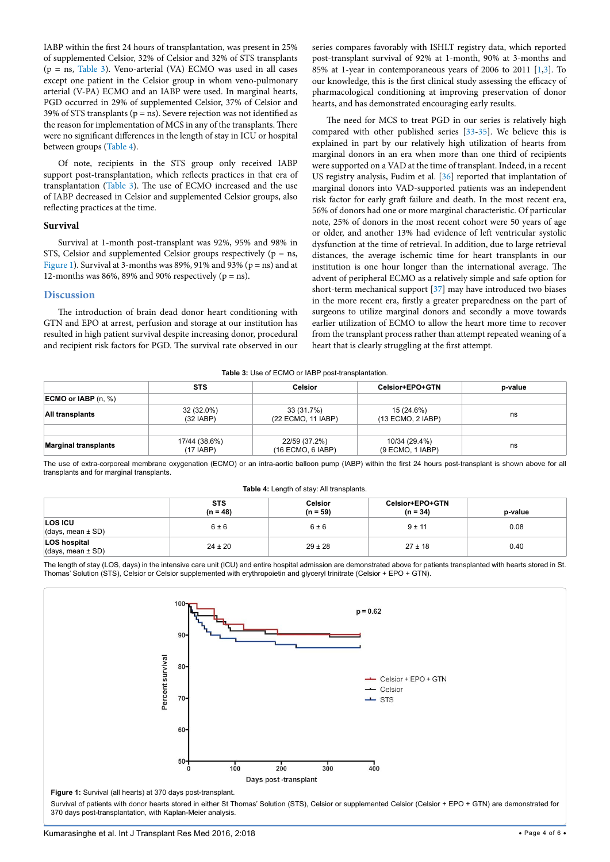IABP within the first 24 hours of transplantation, was present in 25% of supplemented Celsior, 32% of Celsior and 32% of STS transplants (p = ns, [Table 3\)](#page-3-0). Veno-arterial (VA) ECMO was used in all cases except one patient in the Celsior group in whom veno-pulmonary arterial (V-PA) ECMO and an IABP were used. In marginal hearts, PGD occurred in 29% of supplemented Celsior, 37% of Celsior and 39% of STS transplants ( $p = ns$ ). Severe rejection was not identified as the reason for implementation of MCS in any of the transplants. There were no significant differences in the length of stay in ICU or hospital between groups [\(Table 4\)](#page-3-1).

Of note, recipients in the STS group only received IABP support post-transplantation, which reflects practices in that era of transplantation ([Table 3](#page-3-0)). The use of ECMO increased and the use of IABP decreased in Celsior and supplemented Celsior groups, also reflecting practices at the time.

# **Survival**

Survival at 1-month post-transplant was 92%, 95% and 98% in STS, Celsior and supplemented Celsior groups respectively ( $p = ns$ , [Figure 1\)](#page-3-2). Survival at 3-months was 89%, 91% and 93% ( $p = ns$ ) and at 12-months was 86%, 89% and 90% respectively  $(p = ns)$ .

## **Discussion**

The introduction of brain dead donor heart conditioning with GTN and EPO at arrest, perfusion and storage at our institution has resulted in high patient survival despite increasing donor, procedural and recipient risk factors for PGD. The survival rate observed in our

series compares favorably with ISHLT registry data, which reported post-transplant survival of 92% at 1-month, 90% at 3-months and 85% at 1-year in contemporaneous years of 2006 to 2011 [\[1,](#page-4-0)[3](#page-4-2)]. To our knowledge, this is the first clinical study assessing the efficacy of pharmacological conditioning at improving preservation of donor hearts, and has demonstrated encouraging early results.

The need for MCS to treat PGD in our series is relatively high compared with other published series [\[33-](#page-5-10)[35\]](#page-5-11). We believe this is explained in part by our relatively high utilization of hearts from marginal donors in an era when more than one third of recipients were supported on a VAD at the time of transplant. Indeed, in a recent US registry analysis, Fudim et al. [\[36](#page-5-12)] reported that implantation of marginal donors into VAD-supported patients was an independent risk factor for early graft failure and death. In the most recent era, 56% of donors had one or more marginal characteristic. Of particular note, 25% of donors in the most recent cohort were 50 years of age or older, and another 13% had evidence of left ventricular systolic dysfunction at the time of retrieval. In addition, due to large retrieval distances, the average ischemic time for heart transplants in our institution is one hour longer than the international average. The advent of peripheral ECMO as a relatively simple and safe option for short-term mechanical support [\[37\]](#page-5-13) may have introduced two biases in the more recent era, firstly a greater preparedness on the part of surgeons to utilize marginal donors and secondly a move towards earlier utilization of ECMO to allow the heart more time to recover from the transplant process rather than attempt repeated weaning of a heart that is clearly struggling at the first attempt.

#### <span id="page-3-1"></span><span id="page-3-0"></span>**Table 3:** Use of ECMO or IABP post-transplantation.

|                              | <b>STS</b>                 | <b>Celsior</b>                     | Celsior+EPO+GTN                   | p-value |
|------------------------------|----------------------------|------------------------------------|-----------------------------------|---------|
| <b>ECMO or IABP</b> $(n, %)$ |                            |                                    |                                   |         |
| All transplants              | 32 (32.0%)<br>(32 IABP)    | 33 (31.7%)<br>(22 ECMO, 11 IABP)   | 15 (24.6%)<br>$(13$ ECMO, 2 IABP) | ns      |
|                              |                            |                                    |                                   |         |
| <b>Marginal transplants</b>  | 17/44 (38.6%)<br>(17 IABP) | 22/59 (37.2%)<br>(16 ECMO, 6 IABP) | 10/34 (29.4%)<br>(9 ECMO, 1 IABP) | ns      |

The use of extra-corporeal membrane oxygenation (ECMO) or an intra-aortic balloon pump (IABP) within the first 24 hours post-transplant is shown above for all transplants and for marginal transplants.

| Table 4: Length of stay: All transplants.    |                          |                              |                               |         |  |
|----------------------------------------------|--------------------------|------------------------------|-------------------------------|---------|--|
|                                              | <b>STS</b><br>$(n = 48)$ | <b>Celsior</b><br>$(n = 59)$ | Celsior+EPO+GTN<br>$(n = 34)$ | p-value |  |
| <b>LOS ICU</b><br>$(days, mean \pm SD)$      | $6 \pm 6$                | $6 \pm 6$                    | $9 \pm 11$                    | 0.08    |  |
| <b>LOS hospital</b><br>(days, mean $\pm$ SD) | $24 \pm 20$              | $29 \pm 28$                  | $27 \pm 18$                   | 0.40    |  |

The length of stay (LOS, days) in the intensive care unit (ICU) and entire hospital admission are demonstrated above for patients transplanted with hearts stored in St. Thomas' Solution (STS), Celsior or Celsior supplemented with erythropoietin and glyceryl trinitrate (Celsior + EPO + GTN).

<span id="page-3-2"></span>

Survival of patients with donor hearts stored in either St Thomas' Solution (STS), Celsior or supplemented Celsior (Celsior + EPO + GTN) are demonstrated for 370 days post-transplantation, with Kaplan-Meier analysis.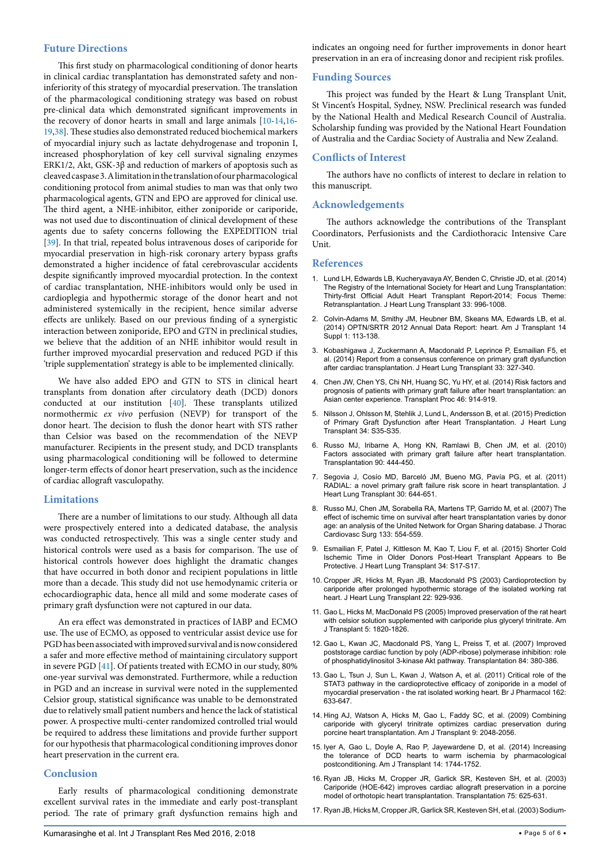# **Future Directions**

This first study on pharmacological conditioning of donor hearts in clinical cardiac transplantation has demonstrated safety and noninferiority of this strategy of myocardial preservation. The translation of the pharmacological conditioning strategy was based on robust pre-clinical data which demonstrated significant improvements in the recovery of donor hearts in small and large animals [\[10-](#page-4-4)[14,](#page-4-7)[16](#page-4-8)- [19](#page-5-0)[,38\]](#page-5-14). These studies also demonstrated reduced biochemical markers of myocardial injury such as lactate dehydrogenase and troponin I, increased phosphorylation of key cell survival signaling enzymes ERK1/2, Akt, GSK-3β and reduction of markers of apoptosis such as cleaved caspase 3. A limitation in the translation of our pharmacological conditioning protocol from animal studies to man was that only two pharmacological agents, GTN and EPO are approved for clinical use. The third agent, a NHE-inhibitor, either zoniporide or cariporide, was not used due to discontinuation of clinical development of these agents due to safety concerns following the EXPEDITION trial [[39](#page-5-15)]. In that trial, repeated bolus intravenous doses of cariporide for myocardial preservation in high-risk coronary artery bypass grafts demonstrated a higher incidence of fatal cerebrovascular accidents despite significantly improved myocardial protection. In the context of cardiac transplantation, NHE-inhibitors would only be used in cardioplegia and hypothermic storage of the donor heart and not administered systemically in the recipient, hence similar adverse effects are unlikely. Based on our previous finding of a synergistic interaction between zoniporide, EPO and GTN in preclinical studies, we believe that the addition of an NHE inhibitor would result in further improved myocardial preservation and reduced PGD if this 'triple supplementation' strategy is able to be implemented clinically.

We have also added EPO and GTN to STS in clinical heart transplants from donation after circulatory death (DCD) donors conducted at our institution [\[40\]](#page-5-16). These transplants utilized normothermic *ex vivo* perfusion (NEVP) for transport of the donor heart. The decision to flush the donor heart with STS rather than Celsior was based on the recommendation of the NEVP manufacturer. Recipients in the present study, and DCD transplants using pharmacological conditioning will be followed to determine longer-term effects of donor heart preservation, such as the incidence of cardiac allograft vasculopathy.

# **Limitations**

There are a number of limitations to our study. Although all data were prospectively entered into a dedicated database, the analysis was conducted retrospectively. This was a single center study and historical controls were used as a basis for comparison. The use of historical controls however does highlight the dramatic changes that have occurred in both donor and recipient populations in little more than a decade. This study did not use hemodynamic criteria or echocardiographic data, hence all mild and some moderate cases of primary graft dysfunction were not captured in our data.

An era effect was demonstrated in practices of IABP and ECMO use. The use of ECMO, as opposed to ventricular assist device use for PGD has been associated with improved survival and is now considered a safer and more effective method of maintaining circulatory support in severe PGD [[41\]](#page-5-17). Of patients treated with ECMO in our study, 80% one-year survival was demonstrated. Furthermore, while a reduction in PGD and an increase in survival were noted in the supplemented Celsior group, statistical significance was unable to be demonstrated due to relatively small patient numbers and hence the lack of statistical power. A prospective multi-center randomized controlled trial would be required to address these limitations and provide further support for our hypothesis that pharmacological conditioning improves donor heart preservation in the current era.

# **Conclusion**

Early results of pharmacological conditioning demonstrate excellent survival rates in the immediate and early post-transplant period. The rate of primary graft dysfunction remains high and indicates an ongoing need for further improvements in donor heart preservation in an era of increasing donor and recipient risk profiles.

# **Funding Sources**

This project was funded by the Heart & Lung Transplant Unit, St Vincent's Hospital, Sydney, NSW. Preclinical research was funded by the National Health and Medical Research Council of Australia. Scholarship funding was provided by the National Heart Foundation of Australia and the Cardiac Society of Australia and New Zealand.

# **Conflicts of Interest**

The authors have no conflicts of interest to declare in relation to this manuscript.

## **Acknowledgements**

The authors acknowledge the contributions of the Transplant Coordinators, Perfusionists and the Cardiothoracic Intensive Care Unit.

## **References**

- <span id="page-4-0"></span>1. [Lund LH, Edwards LB, Kucheryavaya AY, Benden C, Christie JD, et al. \(2014\)](http://www.ncbi.nlm.nih.gov/pubmed/25242124)  [The Registry of the International Society for Heart and Lung Transplantation:](http://www.ncbi.nlm.nih.gov/pubmed/25242124)  [Thirty-first Official Adult Heart Transplant Report-2014; Focus Theme:](http://www.ncbi.nlm.nih.gov/pubmed/25242124)  [Retransplantation. J Heart Lung Transplant 33: 996-1008.](http://www.ncbi.nlm.nih.gov/pubmed/25242124)
- <span id="page-4-1"></span>2. [Colvin-Adams M, Smithy JM, Heubner BM, Skeans MA, Edwards LB, et al.](http://www.ncbi.nlm.nih.gov/pubmed/24373170)  [\(2014\) OPTN/SRTR 2012 Annual Data Report: heart. Am J Transplant 14](http://www.ncbi.nlm.nih.gov/pubmed/24373170)  [Suppl 1: 113-138.](http://www.ncbi.nlm.nih.gov/pubmed/24373170)
- <span id="page-4-2"></span>3. [Kobashigawa J, Zuckermann A, Macdonald P, Leprince P, Esmailian F5, et](http://www.ncbi.nlm.nih.gov/pubmed/24661451)  [al. \(2014\) Report from a consensus conference on primary graft dysfunction](http://www.ncbi.nlm.nih.gov/pubmed/24661451)  [after cardiac transplantation. J Heart Lung Transplant 33: 327-340.](http://www.ncbi.nlm.nih.gov/pubmed/24661451)
- 4. [Chen JW, Chen YS, Chi NH, Huang SC, Yu HY, et al. \(2014\) Risk factors and](http://www.ncbi.nlm.nih.gov/pubmed/24767380)  [prognosis of patients with primary graft failure after heart transplantation: an](http://www.ncbi.nlm.nih.gov/pubmed/24767380)  [Asian center experience. Transplant Proc 46: 914-919.](http://www.ncbi.nlm.nih.gov/pubmed/24767380)
- 5. [Nilsson J, Ohlsson M, Stehlik J, Lund L, Andersson B, et al. \(2015\) Prediction](http://www.jhltonline.org/article/S1053-2498%2815%2900110-2/fulltext)  [of Primary Graft Dysfunction after Heart Transplantation. J Heart Lung](http://www.jhltonline.org/article/S1053-2498%2815%2900110-2/fulltext)  [Transplant 34: S35-S35.](http://www.jhltonline.org/article/S1053-2498%2815%2900110-2/fulltext)
- 6. [Russo MJ, Iribarne A, Hong KN, Ramlawi B, Chen JM, et al. \(2010\)](http://www.ncbi.nlm.nih.gov/pubmed/20622755)  [Factors associated with primary graft failure after heart transplantation.](http://www.ncbi.nlm.nih.gov/pubmed/20622755)  [Transplantation 90: 444-450.](http://www.ncbi.nlm.nih.gov/pubmed/20622755)
- <span id="page-4-3"></span>7. [Segovia J, Cosío MD, Barceló JM, Bueno MG, Pavía PG, et al. \(2011\)](http://www.ncbi.nlm.nih.gov/pubmed/21470878)  [RADIAL: a novel primary graft failure risk score in heart transplantation. J](http://www.ncbi.nlm.nih.gov/pubmed/21470878)  [Heart Lung Transplant 30: 644-651.](http://www.ncbi.nlm.nih.gov/pubmed/21470878)
- <span id="page-4-5"></span>8. [Russo MJ, Chen JM, Sorabella RA, Martens TP, Garrido M, et al. \(2007\) The](http://www.ncbi.nlm.nih.gov/pubmed/17258599)  [effect of ischemic time on survival after heart transplantation varies by donor](http://www.ncbi.nlm.nih.gov/pubmed/17258599)  [age: an analysis of the United Network for Organ Sharing database. J Thorac](http://www.ncbi.nlm.nih.gov/pubmed/17258599)  [Cardiovasc Surg 133: 554-559.](http://www.ncbi.nlm.nih.gov/pubmed/17258599)
- <span id="page-4-6"></span>9. [Esmailian F, Patel J, Kittleson M, Kao T, Liou F, et al. \(2015\) Shorter Cold](https://www.infona.pl/resource/bwmeta1.element.elsevier-0fc0c0f5-dd76-3134-8e5d-e5544ef2d663/tab/summary)  [Ischemic Time in Older Donors Post-Heart Transplant Appears to Be](https://www.infona.pl/resource/bwmeta1.element.elsevier-0fc0c0f5-dd76-3134-8e5d-e5544ef2d663/tab/summary)  [Protective. J Heart Lung Transplant 34: S17-S17.](https://www.infona.pl/resource/bwmeta1.element.elsevier-0fc0c0f5-dd76-3134-8e5d-e5544ef2d663/tab/summary)
- <span id="page-4-4"></span>10. [Cropper JR, Hicks M, Ryan JB, Macdonald PS \(2003\) Cardioprotection by](http://www.ncbi.nlm.nih.gov/pubmed/12909475)  [cariporide after prolonged hypothermic storage of the isolated working rat](http://www.ncbi.nlm.nih.gov/pubmed/12909475)  [heart. J Heart Lung Transplant 22: 929-936.](http://www.ncbi.nlm.nih.gov/pubmed/12909475)
- 11. [Gao L, Hicks M, MacDonald PS \(2005\) Improved preservation of the rat heart](http://www.ncbi.nlm.nih.gov/pubmed/15996228)  [with celsior solution supplemented with cariporide plus glyceryl trinitrate. Am](http://www.ncbi.nlm.nih.gov/pubmed/15996228)  [J Transplant 5: 1820-1826.](http://www.ncbi.nlm.nih.gov/pubmed/15996228)
- 12. [Gao L, Kwan JC, Macdonald PS, Yang L, Preiss T, et al. \(2007\) Improved](http://www.ncbi.nlm.nih.gov/pubmed/17700164)  [poststorage cardiac function by poly \(ADP-ribose\) polymerase inhibition: role](http://www.ncbi.nlm.nih.gov/pubmed/17700164)  [of phosphatidylinositol 3-kinase Akt pathway. Transplantation 84: 380-386.](http://www.ncbi.nlm.nih.gov/pubmed/17700164)
- 13. [Gao L, Tsun J, Sun L, Kwan J, Watson A, et al. \(2011\) Critical role of the](http://www.ncbi.nlm.nih.gov/pubmed/20942815)  [STAT3 pathway in the cardioprotective efficacy of zoniporide in a model of](http://www.ncbi.nlm.nih.gov/pubmed/20942815)  [myocardial preservation - the rat isolated working heart. Br J Pharmacol 162:](http://www.ncbi.nlm.nih.gov/pubmed/20942815)  [633-647.](http://www.ncbi.nlm.nih.gov/pubmed/20942815)
- <span id="page-4-7"></span>14. [Hing AJ, Watson A, Hicks M, Gao L, Faddy SC, et al. \(2009\) Combining](http://onlinelibrary.wiley.com/doi/10.1111/j.1600-6143.2009.02736.x/references)  [cariporide with glyceryl trinitrate optimizes cardiac preservation during](http://onlinelibrary.wiley.com/doi/10.1111/j.1600-6143.2009.02736.x/references)  [porcine heart transplantation. Am J Transplant 9: 2048-2056.](http://onlinelibrary.wiley.com/doi/10.1111/j.1600-6143.2009.02736.x/references)
- 15. [Iyer A, Gao L, Doyle A, Rao P, Jayewardene D, et al. \(2014\) Increasing](http://www.ncbi.nlm.nih.gov/pubmed/25040306)  [the tolerance of DCD hearts to warm ischemia by pharmacological](http://www.ncbi.nlm.nih.gov/pubmed/25040306)  [postconditioning. Am J Transplant 14: 1744-1752.](http://www.ncbi.nlm.nih.gov/pubmed/25040306)
- <span id="page-4-8"></span>16. [Ryan JB, Hicks M, Cropper JR, Garlick SR, Kesteven SH, et al. \(2003\)](http://www.ncbi.nlm.nih.gov/pubmed/12640300)  [Cariporide \(HOE-642\) improves cardiac allograft preservation in a porcine](http://www.ncbi.nlm.nih.gov/pubmed/12640300)  [model of orthotopic heart transplantation. Transplantation 75: 625-631.](http://www.ncbi.nlm.nih.gov/pubmed/12640300)
- 17. [Ryan JB, Hicks M, Cropper JR, Garlick SR, Kesteven SH, et al. \(2003\) Sodium-](http://www.ncbi.nlm.nih.gov/pubmed/14501850)